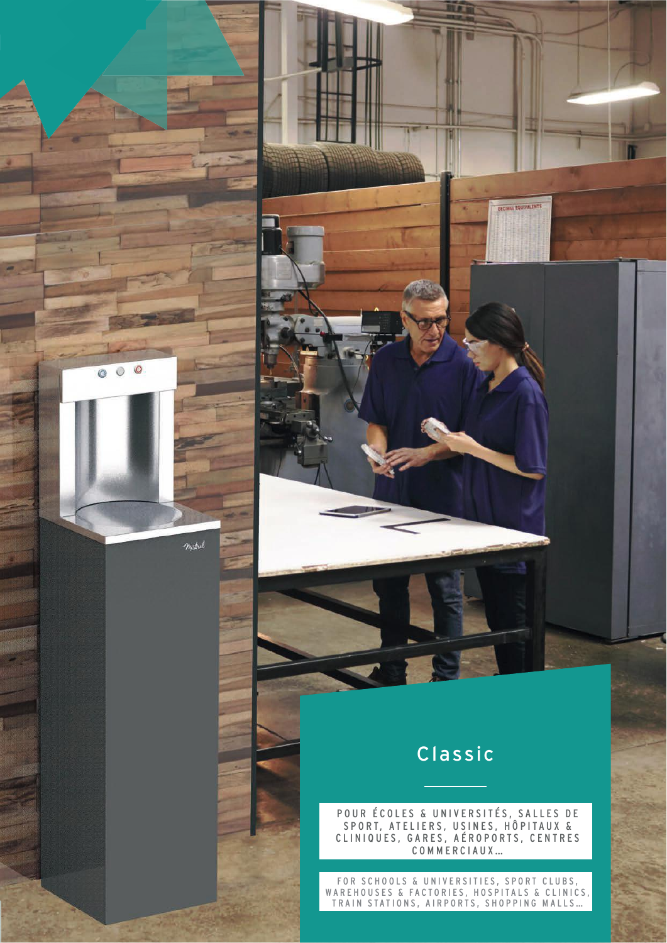

mistral

# Classic

**DECIMAL EQUIVALENTS** 

POUR ÉCOLES & UNIVERSITÉS, SALLES DE SPORT, ATELIERS, USINES, HÔPITAUX & CLINIQUES, GARES, AÉROPORTS, CENTRES COMMERCIAUX…

FOR SCHOOLS & UNIVERSITIES, SPORT CLUBS, WAREHOUSES & FACTORIES, HOSPITALS & CLINICS, TRAIN STATIONS, AIRPORTS, SHOPPING MALLS…